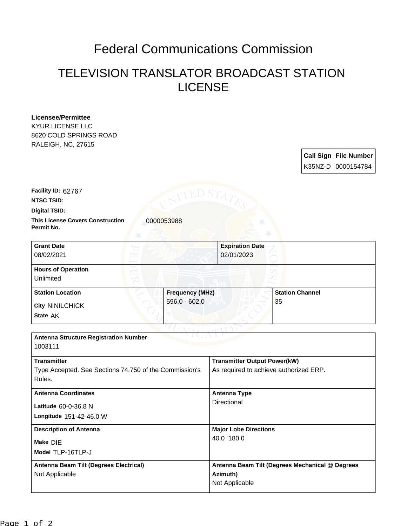## Federal Communications Commission

## TELEVISION TRANSLATOR BROADCAST STATION LICENSE

| Licensee/Permittee                                     |                        |                                        |                        |  |                              |
|--------------------------------------------------------|------------------------|----------------------------------------|------------------------|--|------------------------------|
| <b>KYUR LICENSE LLC</b>                                |                        |                                        |                        |  |                              |
| 8620 COLD SPRINGS ROAD                                 |                        |                                        |                        |  |                              |
| RALEIGH, NC, 27615                                     |                        |                                        |                        |  |                              |
|                                                        |                        |                                        |                        |  | <b>Call Sign File Number</b> |
|                                                        |                        |                                        |                        |  | K35NZ-D 0000154784           |
|                                                        |                        |                                        |                        |  |                              |
| Facility ID: 62767                                     | ED S7                  |                                        |                        |  |                              |
| NTSC TSID:                                             |                        |                                        |                        |  |                              |
| <b>Digital TSID:</b>                                   |                        |                                        |                        |  |                              |
| <b>This License Covers Construction</b><br>Permit No.  | 0000053988             |                                        |                        |  |                              |
| <b>Grant Date</b>                                      |                        | <b>Expiration Date</b>                 |                        |  |                              |
| 08/02/2021                                             |                        | 02/01/2023                             |                        |  |                              |
| <b>Hours of Operation</b>                              |                        |                                        |                        |  |                              |
| Unlimited                                              |                        |                                        |                        |  |                              |
| <b>Station Location</b>                                | <b>Frequency (MHz)</b> |                                        | <b>Station Channel</b> |  |                              |
| <b>City NINILCHICK</b>                                 | $596.0 - 602.0$        |                                        | 35                     |  |                              |
| State AK                                               |                        |                                        |                        |  |                              |
|                                                        |                        |                                        |                        |  |                              |
| <b>Antenna Structure Registration Number</b>           |                        |                                        |                        |  |                              |
| 1003111                                                |                        |                                        |                        |  |                              |
| <b>Transmitter</b>                                     |                        | <b>Transmitter Output Power(kW)</b>    |                        |  |                              |
| Type Accepted. See Sections 74.750 of the Commission's |                        | As required to achieve authorized ERP. |                        |  |                              |
| Rules.                                                 |                        |                                        |                        |  |                              |
| <b>Antenna Coordinates</b>                             |                        | <b>Antenna Type</b>                    |                        |  |                              |
| Latitude 60-0-36.8 N                                   |                        | Directional                            |                        |  |                              |
| Longitude 151-42-46.0 W                                |                        |                                        |                        |  |                              |
| <b>Description of Antenna</b>                          |                        | <b>Major Lobe Directions</b>           |                        |  |                              |
| Make DIE                                               |                        | 40.0 180.0                             |                        |  |                              |
|                                                        |                        |                                        |                        |  |                              |

| Model TLP-16TLP-J                             |                                                 |
|-----------------------------------------------|-------------------------------------------------|
| <b>Antenna Beam Tilt (Degrees Electrical)</b> | Antenna Beam Tilt (Degrees Mechanical @ Degrees |
| Not Applicable                                | Azimuth)                                        |
|                                               | Not Applicable                                  |